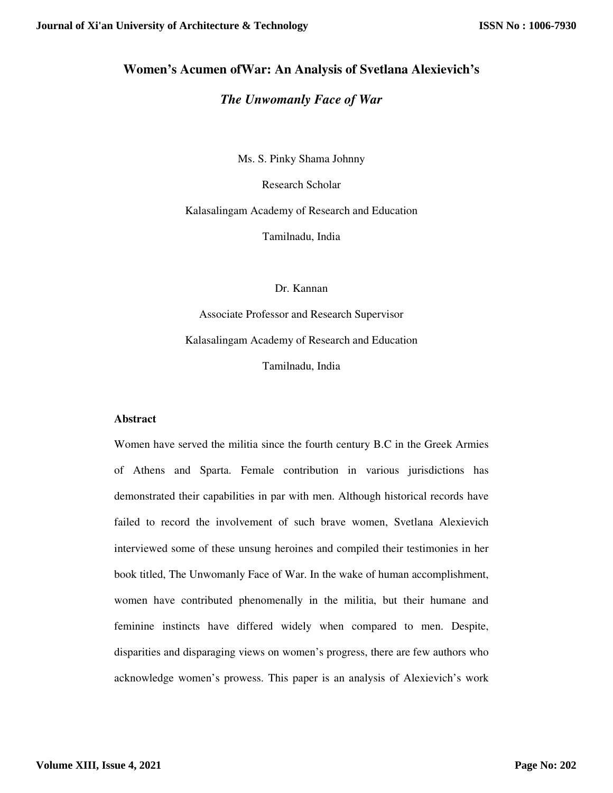## **Women's Acumen ofWar: An Analysis of Svetlana Alexievich's**

## *The Unwomanly Face of War*

Ms. S. Pinky Shama Johnny

Research Scholar

Kalasalingam Academy of Research and Education

Tamilnadu, India

Dr. Kannan

Associate Professor and Research Supervisor Kalasalingam Academy of Research and Education Tamilnadu, India

## **Abstract**

Women have served the militia since the fourth century B.C in the Greek Armies of Athens and Sparta. Female contribution in various jurisdictions has demonstrated their capabilities in par with men. Although historical records have failed to record the involvement of such brave women, Svetlana Alexievich interviewed some of these unsung heroines and compiled their testimonies in her book titled, The Unwomanly Face of War. In the wake of human accomplishment, women have contributed phenomenally in the militia, but their humane and feminine instincts have differed widely when compared to men. Despite, disparities and disparaging views on women's progress, there are few authors who acknowledge women's prowess. This paper is an analysis of Alexievich's work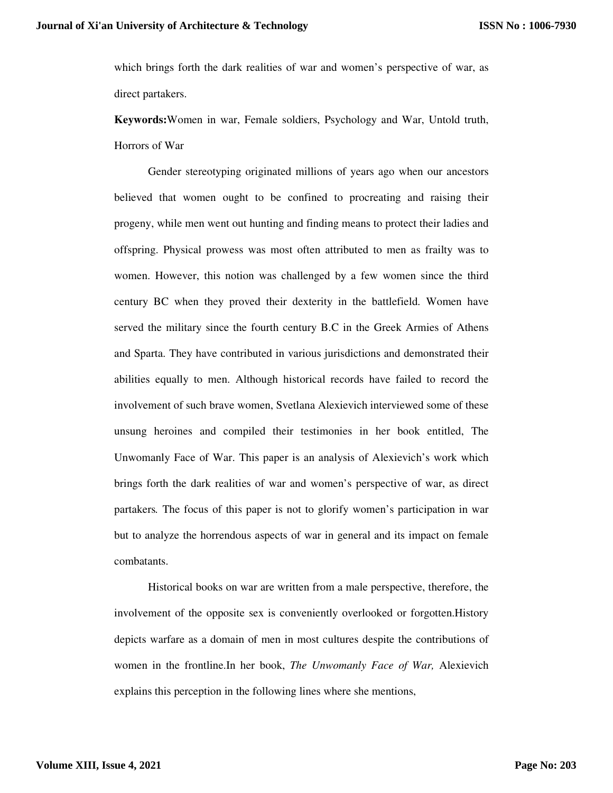which brings forth the dark realities of war and women's perspective of war, as direct partakers.

**Keywords:**Women in war, Female soldiers, Psychology and War, Untold truth, Horrors of War

Gender stereotyping originated millions of years ago when our ancestors believed that women ought to be confined to procreating and raising their progeny, while men went out hunting and finding means to protect their ladies and offspring. Physical prowess was most often attributed to men as frailty was to women. However, this notion was challenged by a few women since the third century BC when they proved their dexterity in the battlefield. Women have served the military since the fourth century B.C in the Greek Armies of Athens and Sparta. They have contributed in various jurisdictions and demonstrated their abilities equally to men. Although historical records have failed to record the involvement of such brave women, Svetlana Alexievich interviewed some of these unsung heroines and compiled their testimonies in her book entitled, The Unwomanly Face of War. This paper is an analysis of Alexievich's work which brings forth the dark realities of war and women's perspective of war, as direct partakers*.* The focus of this paper is not to glorify women's participation in war but to analyze the horrendous aspects of war in general and its impact on female combatants.

Historical books on war are written from a male perspective, therefore, the involvement of the opposite sex is conveniently overlooked or forgotten.History depicts warfare as a domain of men in most cultures despite the contributions of women in the frontline.In her book, *The Unwomanly Face of War,* Alexievich explains this perception in the following lines where she mentions,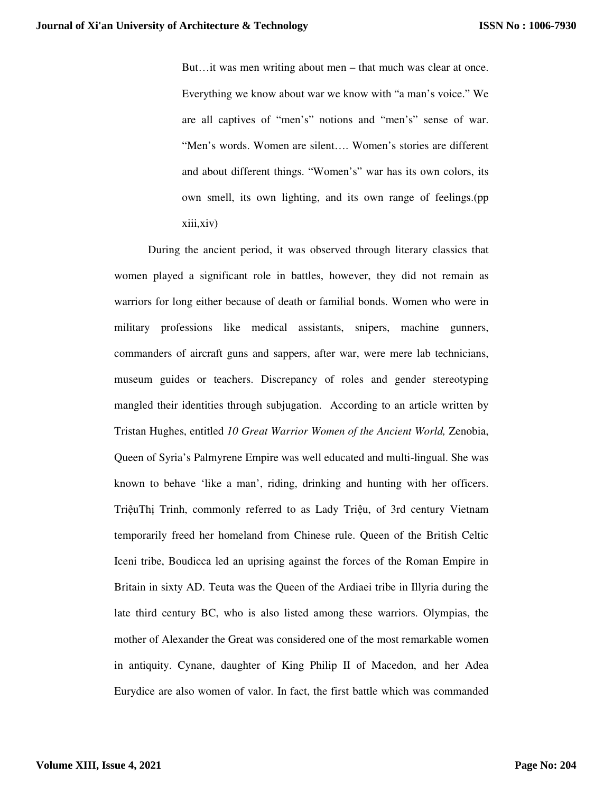But…it was men writing about men – that much was clear at once. Everything we know about war we know with "a man's voice." We are all captives of "men's" notions and "men's" sense of war. "Men's words. Women are silent…. Women's stories are different and about different things. "Women's" war has its own colors, its own smell, its own lighting, and its own range of feelings.(pp xiii,xiv)

During the ancient period, it was observed through literary classics that women played a significant role in battles, however, they did not remain as warriors for long either because of death or familial bonds. Women who were in military professions like medical assistants, snipers, machine gunners, commanders of aircraft guns and sappers, after war, were mere lab technicians, museum guides or teachers. Discrepancy of roles and gender stereotyping mangled their identities through subjugation. According to an article written by Tristan Hughes, entitled *10 Great Warrior Women of the Ancient World,* Zenobia, Queen of Syria's Palmyrene Empire was well educated and multi-lingual. She was known to behave 'like a man', riding, drinking and hunting with her officers. TriệuThị Trinh, commonly referred to as Lady Triệu, of 3rd century Vietnam temporarily freed her homeland from Chinese rule. Queen of the British Celtic Iceni tribe, Boudicca led an uprising against the forces of the Roman Empire in Britain in sixty AD. Teuta was the Queen of the Ardiaei tribe in Illyria during the late third century BC, who is also listed among these warriors. Olympias, the mother of Alexander the Great was considered one of the most remarkable women in antiquity. Cynane, daughter of King Philip II of Macedon, and her Adea Eurydice are also women of valor. In fact, the first battle which was commanded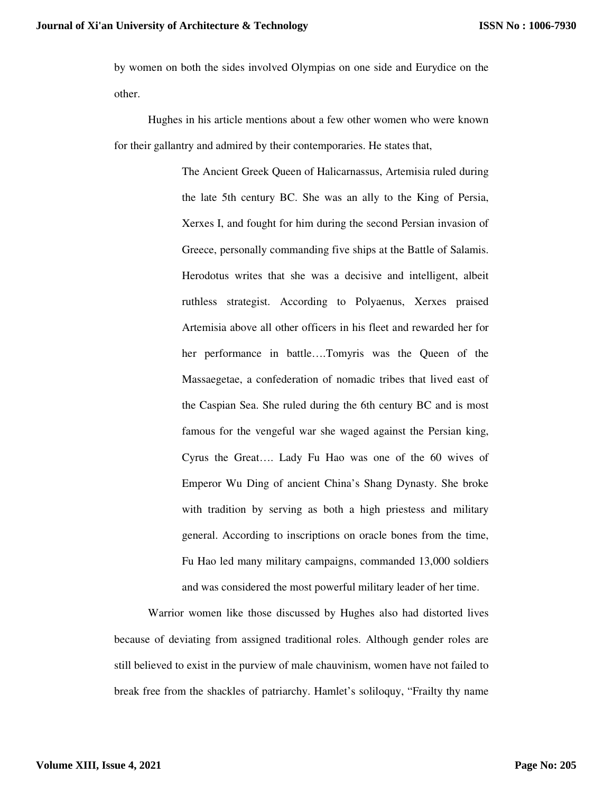by women on both the sides involved Olympias on one side and Eurydice on the other.

Hughes in his article mentions about a few other women who were known for their gallantry and admired by their contemporaries. He states that,

> The Ancient Greek Queen of Halicarnassus, Artemisia ruled during the late 5th century BC. She was an ally to the King of Persia, Xerxes I, and fought for him during the second Persian invasion of Greece, personally commanding five ships at the Battle of Salamis. Herodotus writes that she was a decisive and intelligent, albeit ruthless strategist. According to Polyaenus, Xerxes praised Artemisia above all other officers in his fleet and rewarded her for her performance in battle….Tomyris was the Queen of the Massaegetae, a confederation of nomadic tribes that lived east of the Caspian Sea. She ruled during the 6th century BC and is most famous for the vengeful war she waged against the Persian king, Cyrus the Great…. Lady Fu Hao was one of the 60 wives of Emperor Wu Ding of ancient China's Shang Dynasty. She broke with tradition by serving as both a high priestess and military general. According to inscriptions on oracle bones from the time, Fu Hao led many military campaigns, commanded 13,000 soldiers and was considered the most powerful military leader of her time.

Warrior women like those discussed by Hughes also had distorted lives because of deviating from assigned traditional roles. Although gender roles are still believed to exist in the purview of male chauvinism, women have not failed to break free from the shackles of patriarchy. Hamlet's soliloquy, "Frailty thy name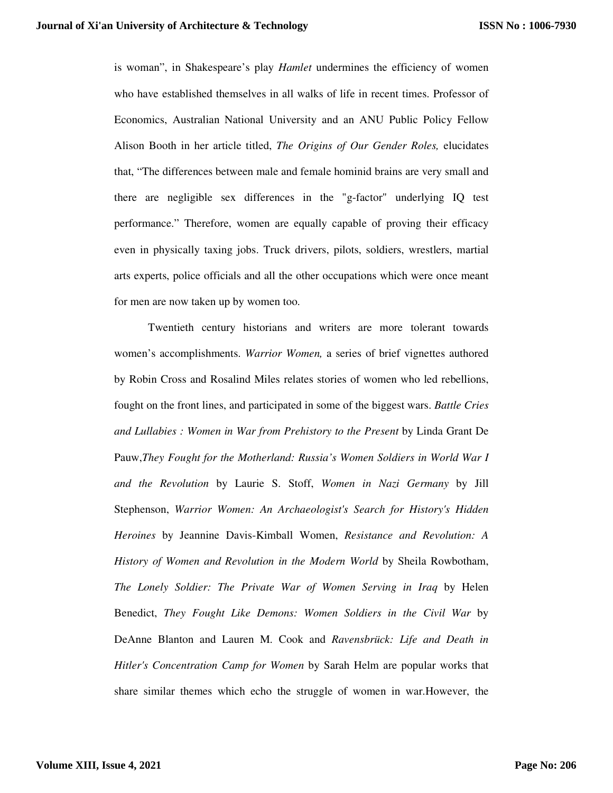is woman", in Shakespeare's play *Hamlet* undermines the efficiency of women who have established themselves in all walks of life in recent times. Professor of Economics, Australian National University and an ANU Public Policy Fellow Alison Booth in her article titled, *The Origins of Our Gender Roles,* elucidates that, "The differences between male and female hominid brains are very small and there are negligible sex differences in the "g-factor" underlying IQ test performance." Therefore, women are equally capable of proving their efficacy even in physically taxing jobs. Truck drivers, pilots, soldiers, wrestlers, martial arts experts, police officials and all the other occupations which were once meant for men are now taken up by women too.

Twentieth century historians and writers are more tolerant towards women's accomplishments. *Warrior Women,* a series of brief vignettes authored by Robin Cross and Rosalind Miles relates stories of women who led rebellions, fought on the front lines, and participated in some of the biggest wars. *Battle Cries and Lullabies : Women in War from Prehistory to the Present* by Linda Grant De Pauw,*They Fought for the Motherland: Russia's Women Soldiers in World War I and the Revolution* by Laurie S. Stoff, *Women in Nazi Germany* by Jill Stephenson, *Warrior Women: An Archaeologist's Search for History's Hidden Heroines* by Jeannine Davis-Kimball Women, *Resistance and Revolution: A History of Women and Revolution in the Modern World* by Sheila Rowbotham, *The Lonely Soldier: The Private War of Women Serving in Iraq* by Helen Benedict, *They Fought Like Demons: Women Soldiers in the Civil War* by DeAnne Blanton and Lauren M. Cook and *Ravensbrück: Life and Death in Hitler's Concentration Camp for Women* by Sarah Helm are popular works that share similar themes which echo the struggle of women in war.However, the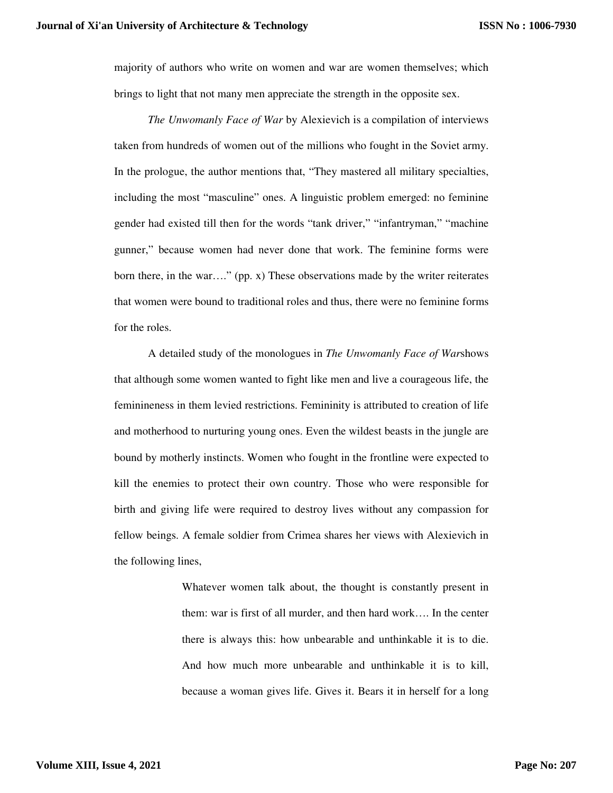majority of authors who write on women and war are women themselves; which brings to light that not many men appreciate the strength in the opposite sex.

*The Unwomanly Face of War* by Alexievich is a compilation of interviews taken from hundreds of women out of the millions who fought in the Soviet army. In the prologue, the author mentions that, "They mastered all military specialties, including the most "masculine" ones. A linguistic problem emerged: no feminine gender had existed till then for the words "tank driver," "infantryman," "machine gunner," because women had never done that work. The feminine forms were born there, in the war…." (pp. x) These observations made by the writer reiterates that women were bound to traditional roles and thus, there were no feminine forms for the roles.

A detailed study of the monologues in *The Unwomanly Face of War*shows that although some women wanted to fight like men and live a courageous life, the feminineness in them levied restrictions. Femininity is attributed to creation of life and motherhood to nurturing young ones. Even the wildest beasts in the jungle are bound by motherly instincts. Women who fought in the frontline were expected to kill the enemies to protect their own country. Those who were responsible for birth and giving life were required to destroy lives without any compassion for fellow beings. A female soldier from Crimea shares her views with Alexievich in the following lines,

> Whatever women talk about, the thought is constantly present in them: war is first of all murder, and then hard work…. In the center there is always this: how unbearable and unthinkable it is to die. And how much more unbearable and unthinkable it is to kill, because a woman gives life. Gives it. Bears it in herself for a long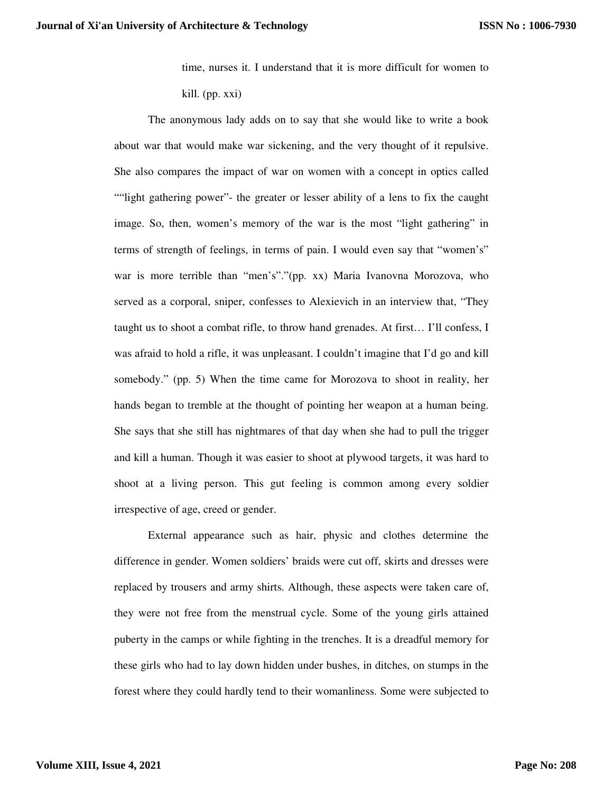time, nurses it. I understand that it is more difficult for women to kill. (pp. xxi)

 The anonymous lady adds on to say that she would like to write a book about war that would make war sickening, and the very thought of it repulsive. She also compares the impact of war on women with a concept in optics called ""light gathering power"- the greater or lesser ability of a lens to fix the caught image. So, then, women's memory of the war is the most "light gathering" in terms of strength of feelings, in terms of pain. I would even say that "women's" war is more terrible than "men's"."(pp. xx) Maria Ivanovna Morozova, who served as a corporal, sniper, confesses to Alexievich in an interview that, "They taught us to shoot a combat rifle, to throw hand grenades. At first… I'll confess, I was afraid to hold a rifle, it was unpleasant. I couldn't imagine that I'd go and kill somebody." (pp. 5) When the time came for Morozova to shoot in reality, her hands began to tremble at the thought of pointing her weapon at a human being. She says that she still has nightmares of that day when she had to pull the trigger and kill a human. Though it was easier to shoot at plywood targets, it was hard to shoot at a living person. This gut feeling is common among every soldier irrespective of age, creed or gender.

 External appearance such as hair, physic and clothes determine the difference in gender. Women soldiers' braids were cut off, skirts and dresses were replaced by trousers and army shirts. Although, these aspects were taken care of, they were not free from the menstrual cycle. Some of the young girls attained puberty in the camps or while fighting in the trenches. It is a dreadful memory for these girls who had to lay down hidden under bushes, in ditches, on stumps in the forest where they could hardly tend to their womanliness. Some were subjected to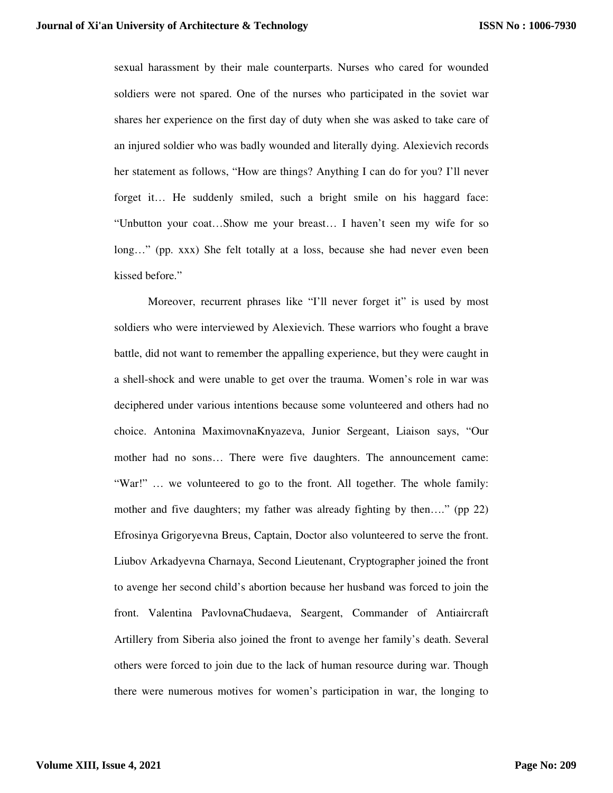sexual harassment by their male counterparts. Nurses who cared for wounded soldiers were not spared. One of the nurses who participated in the soviet war shares her experience on the first day of duty when she was asked to take care of an injured soldier who was badly wounded and literally dying. Alexievich records her statement as follows, "How are things? Anything I can do for you? I'll never forget it… He suddenly smiled, such a bright smile on his haggard face: "Unbutton your coat…Show me your breast… I haven't seen my wife for so long…" (pp. xxx) She felt totally at a loss, because she had never even been kissed before."

 Moreover, recurrent phrases like "I'll never forget it" is used by most soldiers who were interviewed by Alexievich. These warriors who fought a brave battle, did not want to remember the appalling experience, but they were caught in a shell-shock and were unable to get over the trauma. Women's role in war was deciphered under various intentions because some volunteered and others had no choice. Antonina MaximovnaKnyazeva, Junior Sergeant, Liaison says, "Our mother had no sons… There were five daughters. The announcement came: "War!" … we volunteered to go to the front. All together. The whole family: mother and five daughters; my father was already fighting by then...." (pp 22) Efrosinya Grigoryevna Breus, Captain, Doctor also volunteered to serve the front. Liubov Arkadyevna Charnaya, Second Lieutenant, Cryptographer joined the front to avenge her second child's abortion because her husband was forced to join the front. Valentina PavlovnaChudaeva, Seargent, Commander of Antiaircraft Artillery from Siberia also joined the front to avenge her family's death. Several others were forced to join due to the lack of human resource during war. Though there were numerous motives for women's participation in war, the longing to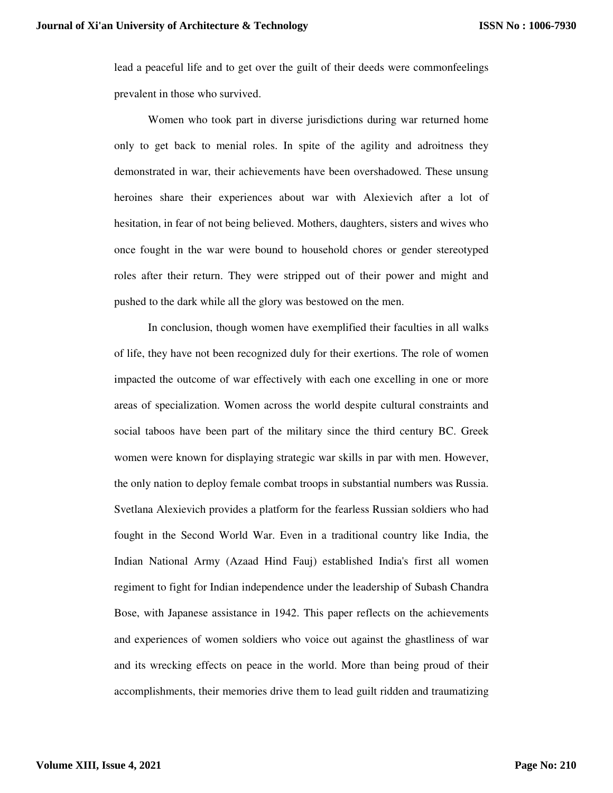lead a peaceful life and to get over the guilt of their deeds were commonfeelings prevalent in those who survived.

 Women who took part in diverse jurisdictions during war returned home only to get back to menial roles. In spite of the agility and adroitness they demonstrated in war, their achievements have been overshadowed. These unsung heroines share their experiences about war with Alexievich after a lot of hesitation, in fear of not being believed. Mothers, daughters, sisters and wives who once fought in the war were bound to household chores or gender stereotyped roles after their return. They were stripped out of their power and might and pushed to the dark while all the glory was bestowed on the men.

 In conclusion, though women have exemplified their faculties in all walks of life, they have not been recognized duly for their exertions. The role of women impacted the outcome of war effectively with each one excelling in one or more areas of specialization. Women across the world despite cultural constraints and social taboos have been part of the military since the third century BC. Greek women were known for displaying strategic war skills in par with men. However, the only nation to deploy female combat troops in substantial numbers was Russia. Svetlana Alexievich provides a platform for the fearless Russian soldiers who had fought in the Second World War. Even in a traditional country like India, the Indian National Army (Azaad Hind Fauj) established India's first all women regiment to fight for Indian independence under the leadership of Subash Chandra Bose, with Japanese assistance in 1942. This paper reflects on the achievements and experiences of women soldiers who voice out against the ghastliness of war and its wrecking effects on peace in the world. More than being proud of their accomplishments, their memories drive them to lead guilt ridden and traumatizing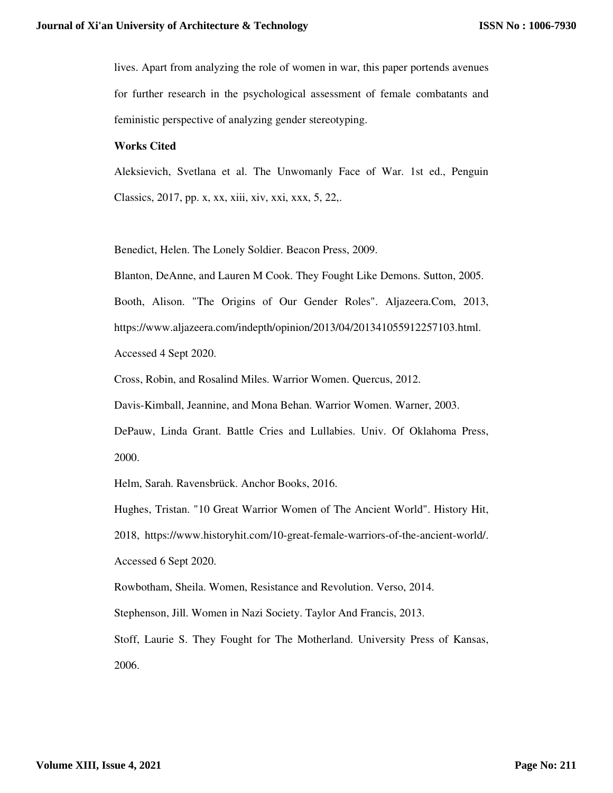lives. Apart from analyzing the role of women in war, this paper portends avenues for further research in the psychological assessment of female combatants and feministic perspective of analyzing gender stereotyping.

## **Works Cited**

Aleksievich, Svetlana et al. The Unwomanly Face of War. 1st ed., Penguin Classics, 2017, pp. x, xx, xiii, xiv, xxi, xxx, 5, 22,.

Benedict, Helen. The Lonely Soldier. Beacon Press, 2009.

Blanton, DeAnne, and Lauren M Cook. They Fought Like Demons. Sutton, 2005. Booth, Alison. "The Origins of Our Gender Roles". Aljazeera.Com, 2013, https://www.aljazeera.com/indepth/opinion/2013/04/201341055912257103.html. Accessed 4 Sept 2020.

Cross, Robin, and Rosalind Miles. Warrior Women. Quercus, 2012.

Davis-Kimball, Jeannine, and Mona Behan. Warrior Women. Warner, 2003.

DePauw, Linda Grant. Battle Cries and Lullabies. Univ. Of Oklahoma Press, 2000.

Helm, Sarah. Ravensbrück. Anchor Books, 2016.

Hughes, Tristan. "10 Great Warrior Women of The Ancient World". History Hit, 2018, https://www.historyhit.com/10-great-female-warriors-of-the-ancient-world/. Accessed 6 Sept 2020.

Rowbotham, Sheila. Women, Resistance and Revolution. Verso, 2014.

Stephenson, Jill. Women in Nazi Society. Taylor And Francis, 2013.

Stoff, Laurie S. They Fought for The Motherland. University Press of Kansas, 2006.